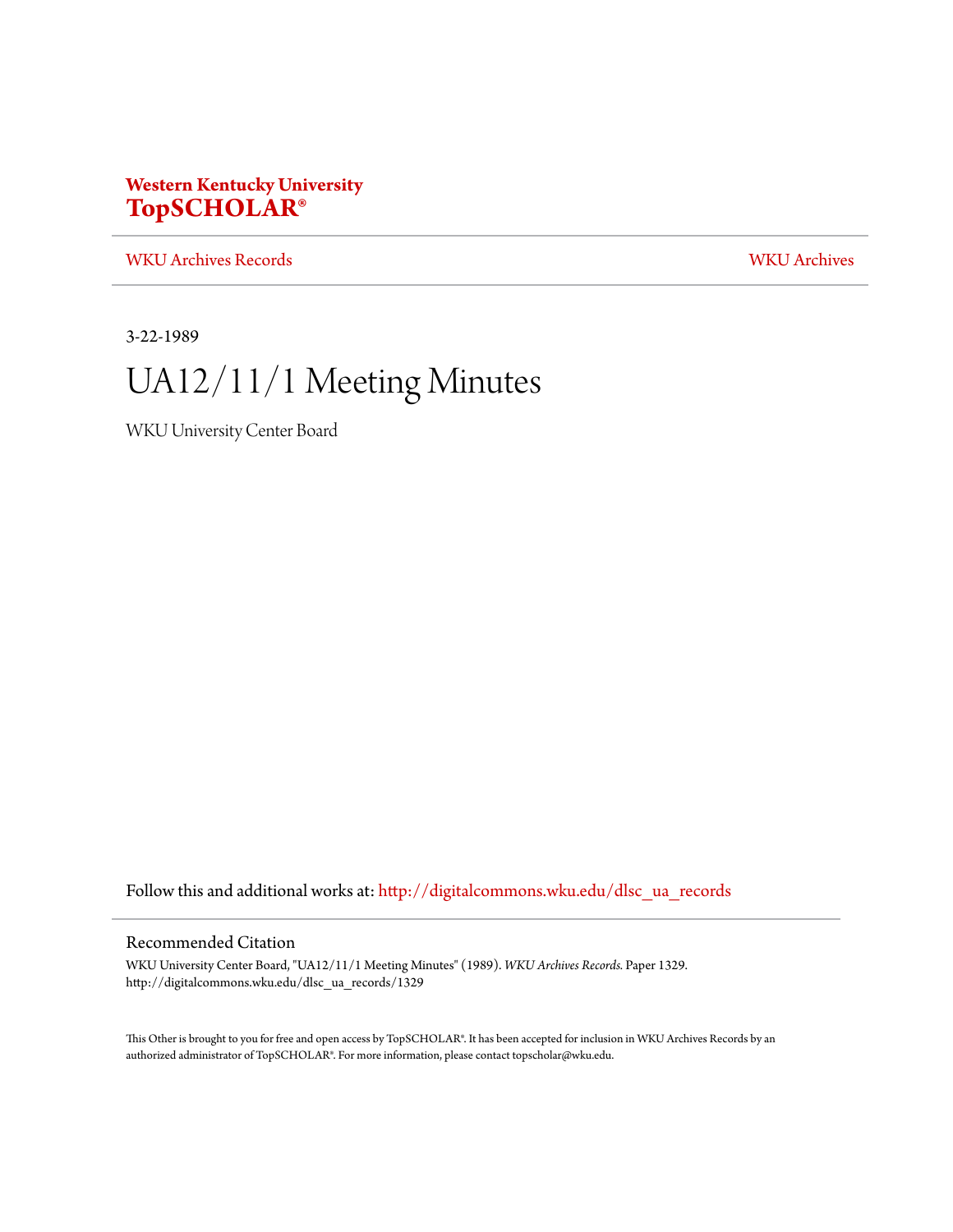### **Western Kentucky University [TopSCHOLAR®](http://digitalcommons.wku.edu?utm_source=digitalcommons.wku.edu%2Fdlsc_ua_records%2F1329&utm_medium=PDF&utm_campaign=PDFCoverPages)**

[WKU Archives Records](http://digitalcommons.wku.edu/dlsc_ua_records?utm_source=digitalcommons.wku.edu%2Fdlsc_ua_records%2F1329&utm_medium=PDF&utm_campaign=PDFCoverPages) [WKU Archives](http://digitalcommons.wku.edu/dlsc_ua?utm_source=digitalcommons.wku.edu%2Fdlsc_ua_records%2F1329&utm_medium=PDF&utm_campaign=PDFCoverPages)

3-22-1989

# UA12/11/1 Meeting Minutes

WKU University Center Board

Follow this and additional works at: [http://digitalcommons.wku.edu/dlsc\\_ua\\_records](http://digitalcommons.wku.edu/dlsc_ua_records?utm_source=digitalcommons.wku.edu%2Fdlsc_ua_records%2F1329&utm_medium=PDF&utm_campaign=PDFCoverPages)

#### Recommended Citation

WKU University Center Board, "UA12/11/1 Meeting Minutes" (1989). *WKU Archives Records.* Paper 1329. http://digitalcommons.wku.edu/dlsc\_ua\_records/1329

This Other is brought to you for free and open access by TopSCHOLAR®. It has been accepted for inclusion in WKU Archives Records by an authorized administrator of TopSCHOLAR®. For more information, please contact topscholar@wku.edu.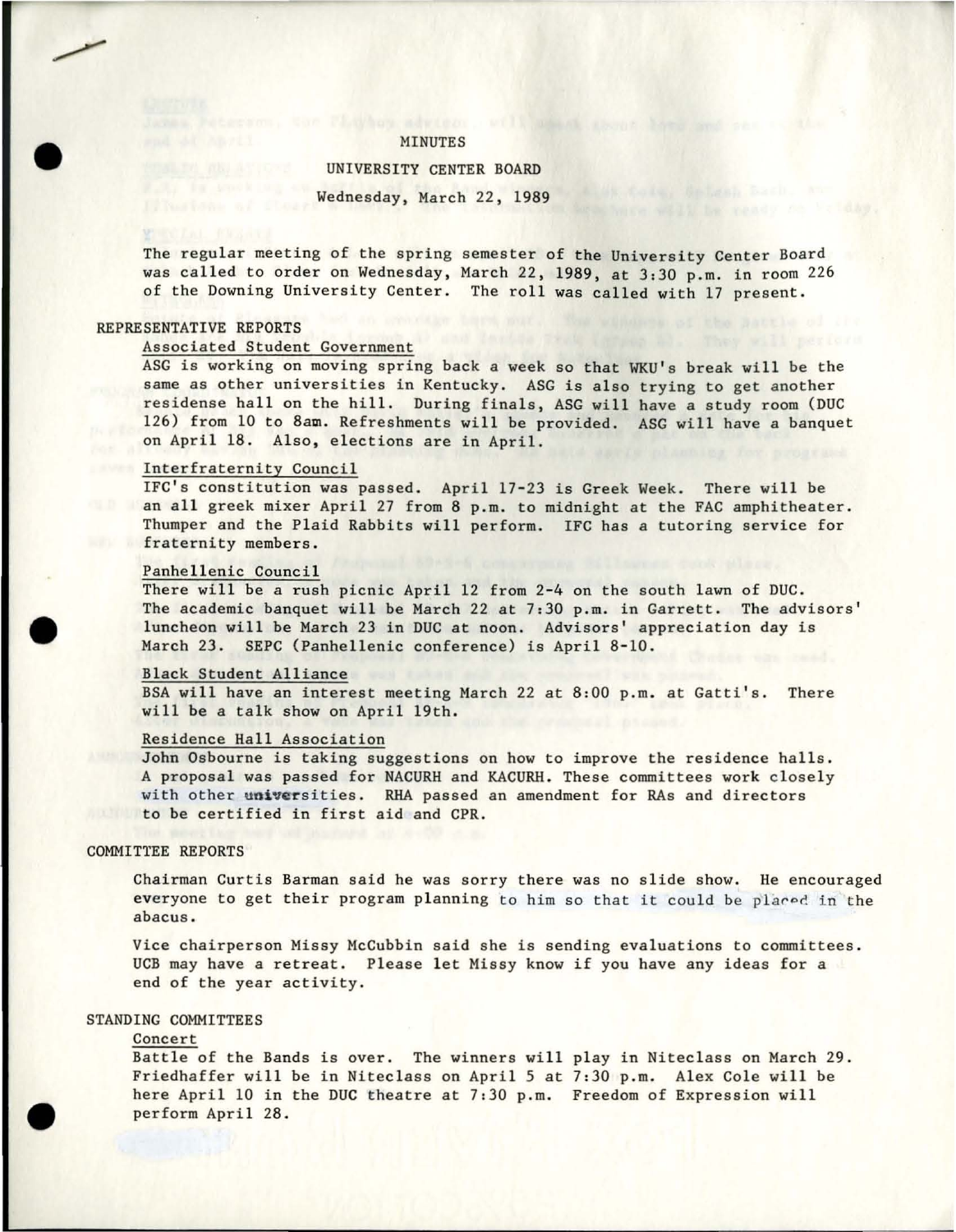#### MINUTES

#### UNIVERSITY CENTER BOARD

Wednesday, March 22, 1989

The regular meeting of the spring semester of the University Center Board was called to order on Wednesday, March 22, 1989, at 3:30 p.m. in room 226 of the Downing University Center. The roll was called with 17 present.

#### REPRESENTATIVE REPORTS

•

•

•

#### **Associated Student Government**

ASG is working on moving spring back a week so that WKU's break will be the same as other universities in Kentucky. ASG is also trying to get another residense hall on the hill. During finals, ASG will have a study room (DUC 126) from 10 to 8am. Refreshments will be provided. ASG will have a banquet on April 18. Also, elections are in April.

#### Interfraternity Council

IFC's constitution was passed. April 17-23 is Greek Week. There will be an all greek mixer April 27 from 8 p.m. to midnight at the FAC amphitheater. Thumper and the Plaid Rabbits will perform. IFC has a tutoring service for **fraternity members.** 

#### Panhellenic Council

There will be a rush picnic April 12 from 2-4 on the south lawn of DUC. The academic banquet will be March 22 at 7:30 p.m. in Garrett. The advisors' luncheon will be March 23 in DUC at noon. Advisors' appreciation day is March 23. SEPC (Panhellenic conference) is April 8-10.

#### Black Student Alliance

BSA will have an interest meeting March 22 at 8:00 p.m. at Gatti's. There will be a talk show on April 19th.

#### Residence Hall Association

John Osbourne is taking suggestions on how to improve the residence halls. A proposal was passed for NACURH and KACURH . These committees work closely with other universities. RHA passed an amendment for RAs and directors to be certified in first aid and CPR.

#### COMMITTEE REPORTS

Chairman Curtis Barman said he was sorry there was no slide show. He encouraged everyone to get their program planning to him so that it could be placed in the **abacus.** 

Vice chairperson Missy McCubbin said she is sending evaluations to committees. UCB may have a retreat. Please let Missy know if you have any ideas for a end of the year activity.

#### STANDING COMMITTEES

#### **Concert**

Battle of the Bands is over. The winners will play in Niteclass on March 29. Friedhaffer will be in Niteclass on April 5 at 7:30 p.m. Alex Cole will be here April 10 in the DUC theatre at 7:30 p.m. Freedom of Expression will perform April 28.